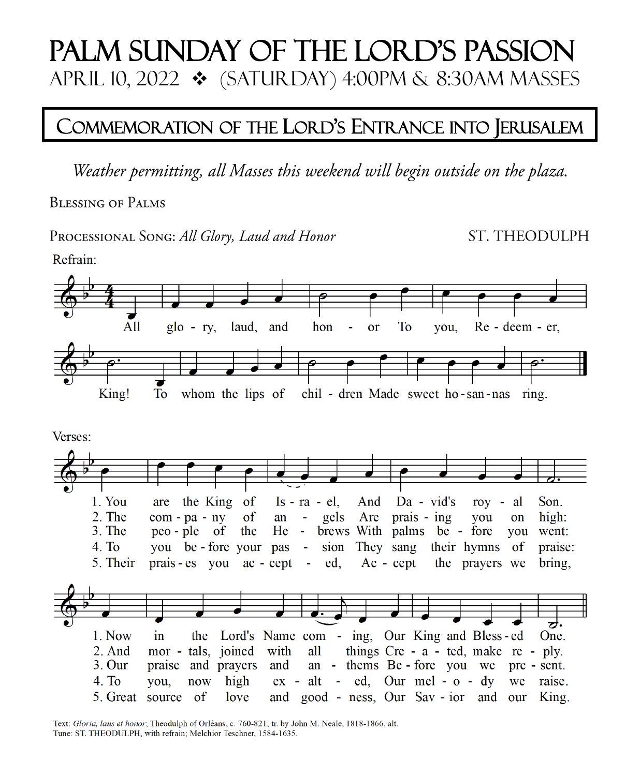# Palm Sunday of the Lord's Passion April 10, 2022 ❖ (Saturday) 4:00Pm & 8:30AM Masses

## COMMEMORATION OF THE LORD'S ENTRANCE INTO JERUSALEM

Weather permitting, all Masses this weekend will begin outside on the plaza.

**BLESSING OF PALMS** 

PROCESSIONAL SONG: All Glory, Laud and Honor

ST. THEODULPH



Text: Gloria, laus et honor; Theodulph of Orléans, c. 760-821; tr. by John M. Neale, 1818-1866, alt. Tune: ST. THEODULPH, with refrain; Melchior Teschner, 1584-1635.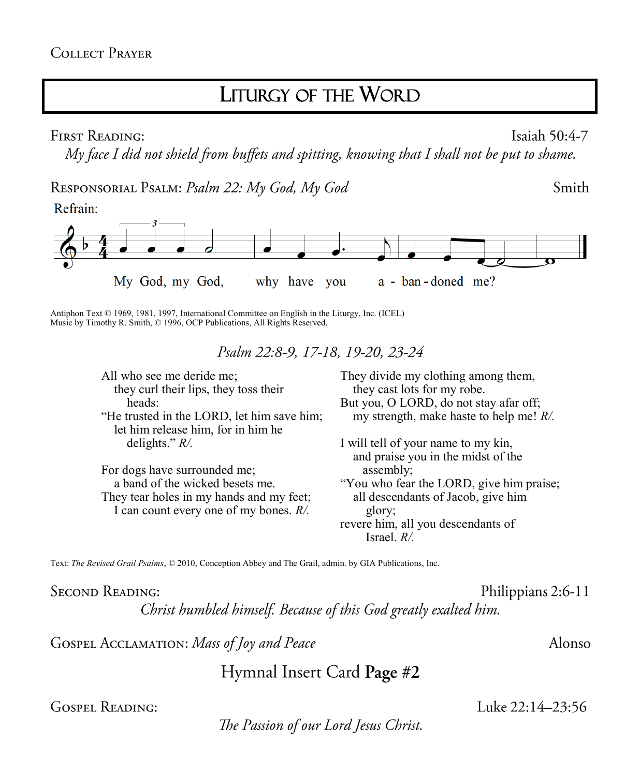### LITURGY OF THE WORD

FIRST READING:

Isaiah 50:4-7

Smith

My face I did not shield from buffets and spitting, knowing that I shall not be put to shame.

RESPONSORIAL PSALM: Psalm 22: My God, My God





Antiphon Text © 1969, 1981, 1997, International Committee on English in the Liturgy, Inc. (ICEL) Music by Timothy R. Smith, © 1996, OCP Publications, All Rights Reserved.

Psalm 22:8-9, 17-18, 19-20, 23-24

All who see me deride me; they curl their lips, they toss their heads: "He trusted in the LORD, let him save him; let him release him, for in him he delights." *R/.*

For dogs have surrounded me; a band of the wicked besets me. They tear holes in my hands and my feet; I can count every one of my bones. *R/.*

They divide my clothing among them, they cast lots for my robe. But you, O LORD, do not stay afar off; my strength, make haste to help me! *R/.*

I will tell of your name to my kin, and praise you in the midst of the assembly; "You who fear the LORD, give him praise; all descendants of Jacob, give him glory; revere him, all you descendants of Israel. *R/.*

Text: *The Revised Grail Psalms*, © 2010, Conception Abbey and The Grail, admin. by GIA Publications, Inc.

**SECOND READING:** 

Philippians 2:6-11

Luke 22:14-23:56

Christ humbled himself. Because of this God greatly exalted him.

GOSPEL ACCLAMATION: Mass of Joy and Peace

Hymnal Insert Card Page #2

**GOSPEL READING:** 

The Passion of our Lord Jesus Christ.

Alonso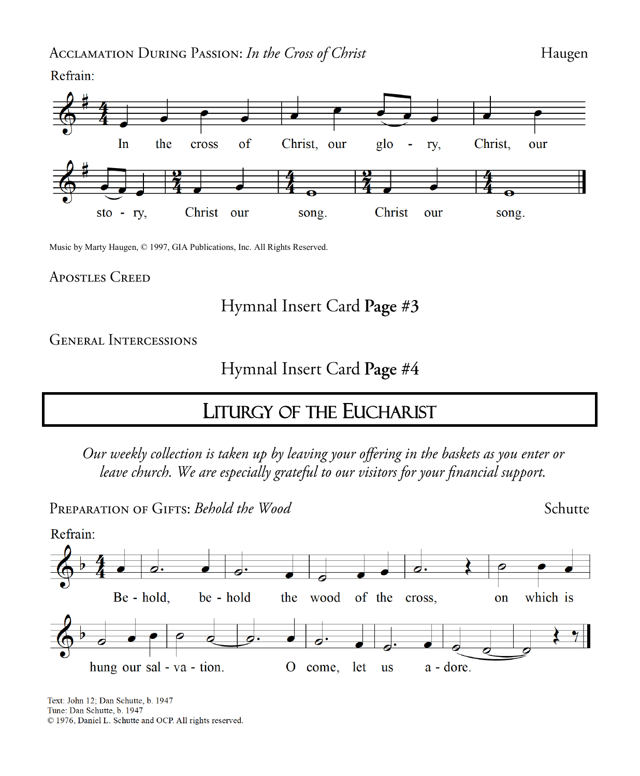Refrain:



Music by Marty Haugen, © 1997, GIA Publications, Inc. All Rights Reserved.

#### **APOSTLES CREED**

#### Hymnal Insert Card Page #3

**GENERAL INTERCESSIONS** 

#### Hymnal Insert Card Page #4

### **LITURGY OF THE EUCHARIST**

Our weekly collection is taken up by leaving your offering in the baskets as you enter or leave church. We are especially grateful to our visitors for your financial support.

PREPARATION OF GIFTS: Behold the Wood

Schutte



Text: John 12; Dan Schutte, b. 1947 Tune: Dan Schutte, b. 1947 C 1976, Daniel L. Schutte and OCP. All rights reserved.